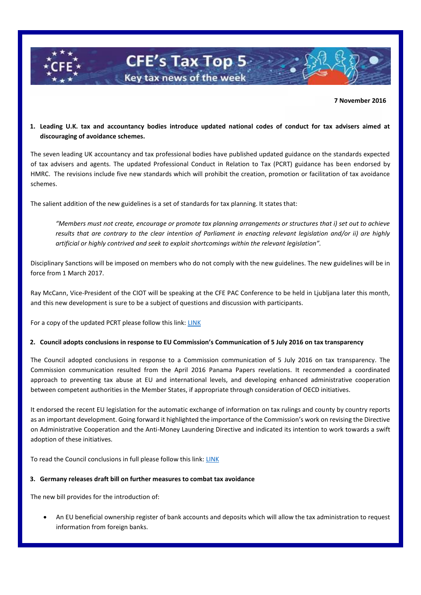

### **7 November 2016**

**1. Leading U.K. tax and accountancy bodies introduce updated national codes of conduct for tax advisers aimed at discouraging of avoidance schemes.**

The seven leading UK accountancy and tax professional bodies have published updated guidance on the standards expected of tax advisers and agents. The updated Professional Conduct in Relation to Tax (PCRT) guidance has been endorsed by HMRC. The revisions include five new standards which will prohibit the creation, promotion or facilitation of tax avoidance schemes.

The salient addition of the new guidelines is a set of standards for tax planning. It states that:

*"Members must not create, encourage or promote tax planning arrangements or structures that i) set out to achieve results that are contrary to the clear intention of Parliament in enacting relevant legislation and/or ii) are highly artificial or highly contrived and seek to exploit shortcomings within the relevant legislation".* 

Disciplinary Sanctions will be imposed on members who do not comply with the new guidelines. The new guidelines will be in force from 1 March 2017.

Ray McCann, Vice-President of the CIOT will be speaking at the CFE PAC Conference to be held in Ljubljana later this month, and this new development is sure to be a subject of questions and discussion with participants.

For a copy of the updated PCRT please follow this link: [LINK](http://www.tax.org.uk/sites/default/files/PCRT%20Effective%201%20March%202017%20FINAL.pdf)

### **2. Council adopts conclusions in response to EU Commission's Communication of 5 July 2016 on tax transparency**

The Council adopted conclusions in response to a Commission communication of 5 July 2016 on tax transparency. The Commission communication resulted from the April 2016 Panama Papers revelations. It recommended a coordinated approach to preventing tax abuse at EU and international levels, and developing enhanced administrative cooperation between competent authorities in the Member States, if appropriate through consideration of OECD initiatives.

It endorsed the recent EU legislation for the automatic exchange of information on tax rulings and county by country reports as an important development. Going forward it highlighted the importance of the Commission's work on revising the Directive on Administrative Cooperation and the Anti-Money Laundering Directive and indicated its intention to work towards a swift adoption of these initiatives.

To read the Council conclusions in full please follow this link: [LINK](http://www.consilium.europa.eu/en/press/press-releases/2016/10/11-ecofin-conclusions-tax-transparency/)

#### **3. Germany releases draft bill on further measures to combat tax avoidance**

The new bill provides for the introduction of:

 An EU beneficial ownership register of bank accounts and deposits which will allow the tax administration to request information from foreign banks.